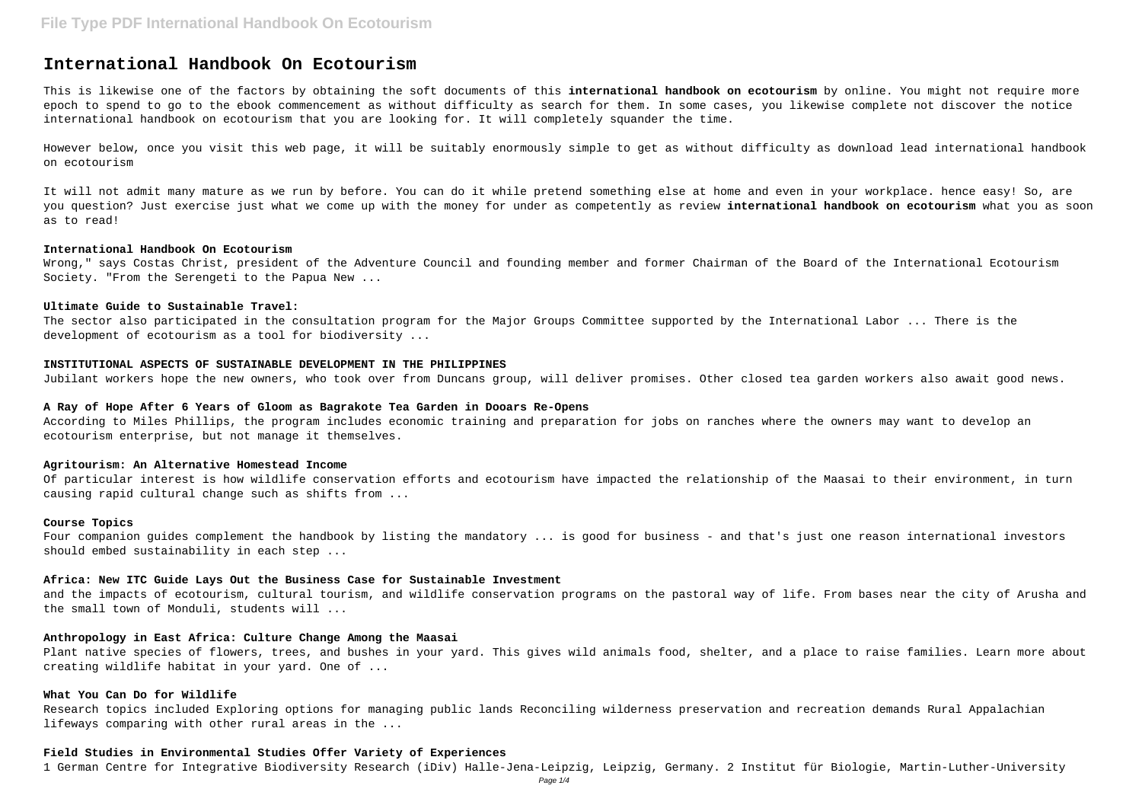### **International Handbook On Ecotourism**

This is likewise one of the factors by obtaining the soft documents of this **international handbook on ecotourism** by online. You might not require more epoch to spend to go to the ebook commencement as without difficulty as search for them. In some cases, you likewise complete not discover the notice international handbook on ecotourism that you are looking for. It will completely squander the time.

However below, once you visit this web page, it will be suitably enormously simple to get as without difficulty as download lead international handbook on ecotourism

It will not admit many mature as we run by before. You can do it while pretend something else at home and even in your workplace. hence easy! So, are you question? Just exercise just what we come up with the money for under as competently as review **international handbook on ecotourism** what you as soon as to read!

### **International Handbook On Ecotourism**

Wrong," says Costas Christ, president of the Adventure Council and founding member and former Chairman of the Board of the International Ecotourism Society. "From the Serengeti to the Papua New ...

#### **Ultimate Guide to Sustainable Travel:**

The sector also participated in the consultation program for the Major Groups Committee supported by the International Labor ... There is the development of ecotourism as a tool for biodiversity ...

#### **INSTITUTIONAL ASPECTS OF SUSTAINABLE DEVELOPMENT IN THE PHILIPPINES**

Jubilant workers hope the new owners, who took over from Duncans group, will deliver promises. Other closed tea garden workers also await good news.

### **A Ray of Hope After 6 Years of Gloom as Bagrakote Tea Garden in Dooars Re-Opens**

According to Miles Phillips, the program includes economic training and preparation for jobs on ranches where the owners may want to develop an ecotourism enterprise, but not manage it themselves.

#### **Agritourism: An Alternative Homestead Income**

Of particular interest is how wildlife conservation efforts and ecotourism have impacted the relationship of the Maasai to their environment, in turn causing rapid cultural change such as shifts from ...

### **Course Topics**

Four companion guides complement the handbook by listing the mandatory ... is good for business - and that's just one reason international investors should embed sustainability in each step ...

### **Africa: New ITC Guide Lays Out the Business Case for Sustainable Investment**

and the impacts of ecotourism, cultural tourism, and wildlife conservation programs on the pastoral way of life. From bases near the city of Arusha and the small town of Monduli, students will ...

### **Anthropology in East Africa: Culture Change Among the Maasai**

Plant native species of flowers, trees, and bushes in your yard. This gives wild animals food, shelter, and a place to raise families. Learn more about creating wildlife habitat in your yard. One of ...

### **What You Can Do for Wildlife**

Research topics included Exploring options for managing public lands Reconciling wilderness preservation and recreation demands Rural Appalachian lifeways comparing with other rural areas in the ...

### **Field Studies in Environmental Studies Offer Variety of Experiences**

1 German Centre for Integrative Biodiversity Research (iDiv) Halle-Jena-Leipzig, Leipzig, Germany. 2 Institut für Biologie, Martin-Luther-University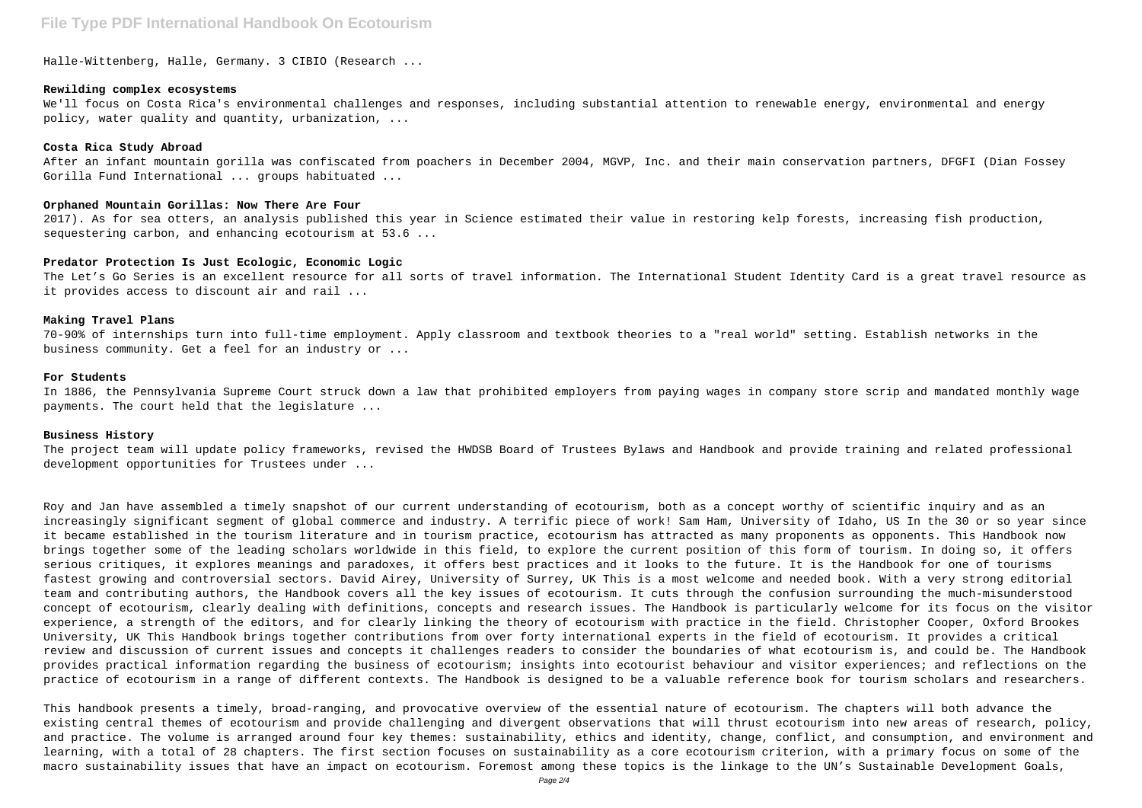## **File Type PDF International Handbook On Ecotourism**

Halle-Wittenberg, Halle, Germany. 3 CIBIO (Research ...

### **Rewilding complex ecosystems**

We'll focus on Costa Rica's environmental challenges and responses, including substantial attention to renewable energy, environmental and energy policy, water quality and quantity, urbanization, ...

### **Costa Rica Study Abroad**

After an infant mountain gorilla was confiscated from poachers in December 2004, MGVP, Inc. and their main conservation partners, DFGFI (Dian Fossey Gorilla Fund International ... groups habituated ...

### **Orphaned Mountain Gorillas: Now There Are Four**

2017). As for sea otters, an analysis published this year in Science estimated their value in restoring kelp forests, increasing fish production, sequestering carbon, and enhancing ecotourism at 53.6 ...

### **Predator Protection Is Just Ecologic, Economic Logic**

The Let's Go Series is an excellent resource for all sorts of travel information. The International Student Identity Card is a great travel resource as it provides access to discount air and rail ...

### **Making Travel Plans**

70-90% of internships turn into full-time employment. Apply classroom and textbook theories to a "real world" setting. Establish networks in the business community. Get a feel for an industry or ...

### **For Students**

In 1886, the Pennsylvania Supreme Court struck down a law that prohibited employers from paying wages in company store scrip and mandated monthly wage payments. The court held that the legislature ...

### **Business History**

The project team will update policy frameworks, revised the HWDSB Board of Trustees Bylaws and Handbook and provide training and related professional development opportunities for Trustees under ...

Roy and Jan have assembled a timely snapshot of our current understanding of ecotourism, both as a concept worthy of scientific inquiry and as an increasingly significant segment of global commerce and industry. A terrific piece of work! Sam Ham, University of Idaho, US In the 30 or so year since it became established in the tourism literature and in tourism practice, ecotourism has attracted as many proponents as opponents. This Handbook now brings together some of the leading scholars worldwide in this field, to explore the current position of this form of tourism. In doing so, it offers serious critiques, it explores meanings and paradoxes, it offers best practices and it looks to the future. It is the Handbook for one of tourisms fastest growing and controversial sectors. David Airey, University of Surrey, UK This is a most welcome and needed book. With a very strong editorial team and contributing authors, the Handbook covers all the key issues of ecotourism. It cuts through the confusion surrounding the much-misunderstood concept of ecotourism, clearly dealing with definitions, concepts and research issues. The Handbook is particularly welcome for its focus on the visitor experience, a strength of the editors, and for clearly linking the theory of ecotourism with practice in the field. Christopher Cooper, Oxford Brookes University, UK This Handbook brings together contributions from over forty international experts in the field of ecotourism. It provides a critical review and discussion of current issues and concepts it challenges readers to consider the boundaries of what ecotourism is, and could be. The Handbook provides practical information regarding the business of ecotourism; insights into ecotourist behaviour and visitor experiences; and reflections on the practice of ecotourism in a range of different contexts. The Handbook is designed to be a valuable reference book for tourism scholars and researchers.

This handbook presents a timely, broad-ranging, and provocative overview of the essential nature of ecotourism. The chapters will both advance the existing central themes of ecotourism and provide challenging and divergent observations that will thrust ecotourism into new areas of research, policy, and practice. The volume is arranged around four key themes: sustainability, ethics and identity, change, conflict, and consumption, and environment and learning, with a total of 28 chapters. The first section focuses on sustainability as a core ecotourism criterion, with a primary focus on some of the macro sustainability issues that have an impact on ecotourism. Foremost among these topics is the linkage to the UN's Sustainable Development Goals,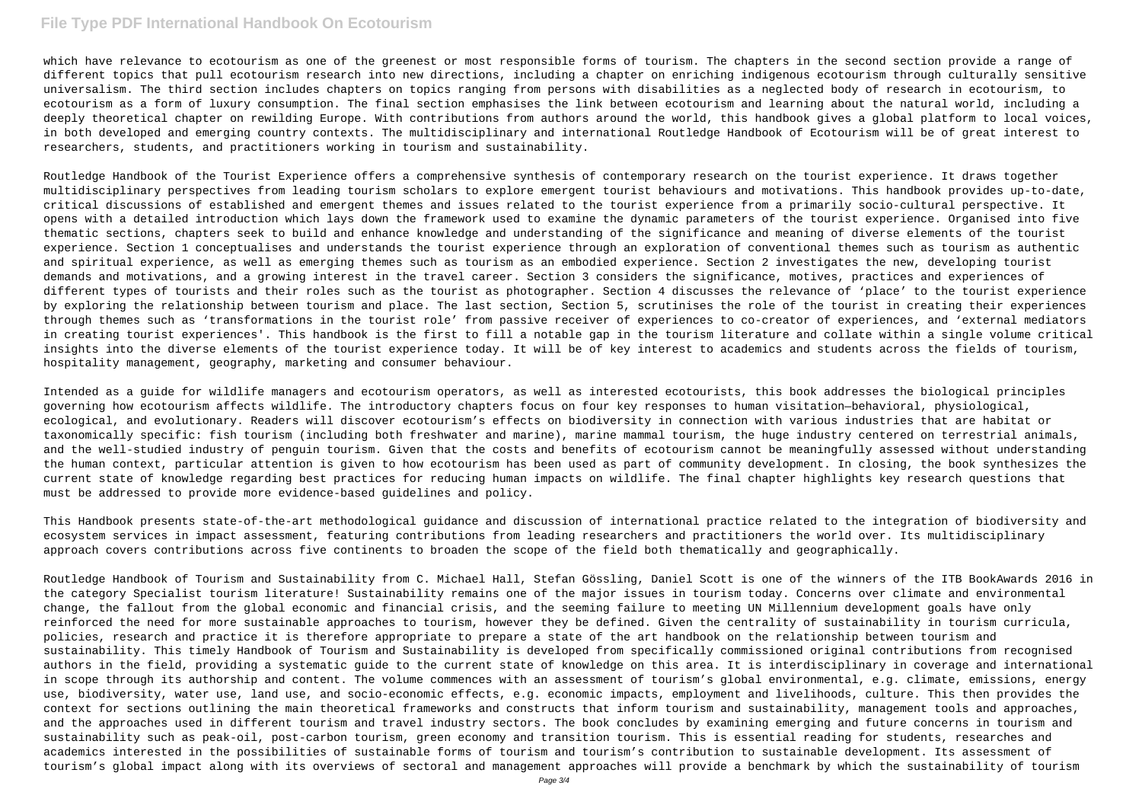## **File Type PDF International Handbook On Ecotourism**

which have relevance to ecotourism as one of the greenest or most responsible forms of tourism. The chapters in the second section provide a range of different topics that pull ecotourism research into new directions, including a chapter on enriching indigenous ecotourism through culturally sensitive universalism. The third section includes chapters on topics ranging from persons with disabilities as a neglected body of research in ecotourism, to ecotourism as a form of luxury consumption. The final section emphasises the link between ecotourism and learning about the natural world, including a deeply theoretical chapter on rewilding Europe. With contributions from authors around the world, this handbook gives a global platform to local voices, in both developed and emerging country contexts. The multidisciplinary and international Routledge Handbook of Ecotourism will be of great interest to researchers, students, and practitioners working in tourism and sustainability.

Routledge Handbook of the Tourist Experience offers a comprehensive synthesis of contemporary research on the tourist experience. It draws together multidisciplinary perspectives from leading tourism scholars to explore emergent tourist behaviours and motivations. This handbook provides up-to-date, critical discussions of established and emergent themes and issues related to the tourist experience from a primarily socio-cultural perspective. It opens with a detailed introduction which lays down the framework used to examine the dynamic parameters of the tourist experience. Organised into five thematic sections, chapters seek to build and enhance knowledge and understanding of the significance and meaning of diverse elements of the tourist experience. Section 1 conceptualises and understands the tourist experience through an exploration of conventional themes such as tourism as authentic and spiritual experience, as well as emerging themes such as tourism as an embodied experience. Section 2 investigates the new, developing tourist demands and motivations, and a growing interest in the travel career. Section 3 considers the significance, motives, practices and experiences of different types of tourists and their roles such as the tourist as photographer. Section 4 discusses the relevance of 'place' to the tourist experience by exploring the relationship between tourism and place. The last section, Section 5, scrutinises the role of the tourist in creating their experiences through themes such as 'transformations in the tourist role' from passive receiver of experiences to co-creator of experiences, and 'external mediators in creating tourist experiences'. This handbook is the first to fill a notable gap in the tourism literature and collate within a single volume critical insights into the diverse elements of the tourist experience today. It will be of key interest to academics and students across the fields of tourism, hospitality management, geography, marketing and consumer behaviour.

Intended as a guide for wildlife managers and ecotourism operators, as well as interested ecotourists, this book addresses the biological principles governing how ecotourism affects wildlife. The introductory chapters focus on four key responses to human visitation—behavioral, physiological, ecological, and evolutionary. Readers will discover ecotourism's effects on biodiversity in connection with various industries that are habitat or taxonomically specific: fish tourism (including both freshwater and marine), marine mammal tourism, the huge industry centered on terrestrial animals, and the well-studied industry of penguin tourism. Given that the costs and benefits of ecotourism cannot be meaningfully assessed without understanding the human context, particular attention is given to how ecotourism has been used as part of community development. In closing, the book synthesizes the current state of knowledge regarding best practices for reducing human impacts on wildlife. The final chapter highlights key research questions that must be addressed to provide more evidence-based guidelines and policy.

This Handbook presents state-of-the-art methodological guidance and discussion of international practice related to the integration of biodiversity and ecosystem services in impact assessment, featuring contributions from leading researchers and practitioners the world over. Its multidisciplinary approach covers contributions across five continents to broaden the scope of the field both thematically and geographically.

Routledge Handbook of Tourism and Sustainability from C. Michael Hall, Stefan Gössling, Daniel Scott is one of the winners of the ITB BookAwards 2016 in the category Specialist tourism literature! Sustainability remains one of the major issues in tourism today. Concerns over climate and environmental change, the fallout from the global economic and financial crisis, and the seeming failure to meeting UN Millennium development goals have only reinforced the need for more sustainable approaches to tourism, however they be defined. Given the centrality of sustainability in tourism curricula, policies, research and practice it is therefore appropriate to prepare a state of the art handbook on the relationship between tourism and sustainability. This timely Handbook of Tourism and Sustainability is developed from specifically commissioned original contributions from recognised authors in the field, providing a systematic guide to the current state of knowledge on this area. It is interdisciplinary in coverage and international in scope through its authorship and content. The volume commences with an assessment of tourism's global environmental, e.g. climate, emissions, energy use, biodiversity, water use, land use, and socio-economic effects, e.g. economic impacts, employment and livelihoods, culture. This then provides the context for sections outlining the main theoretical frameworks and constructs that inform tourism and sustainability, management tools and approaches, and the approaches used in different tourism and travel industry sectors. The book concludes by examining emerging and future concerns in tourism and sustainability such as peak-oil, post-carbon tourism, green economy and transition tourism. This is essential reading for students, researches and academics interested in the possibilities of sustainable forms of tourism and tourism's contribution to sustainable development. Its assessment of tourism's global impact along with its overviews of sectoral and management approaches will provide a benchmark by which the sustainability of tourism